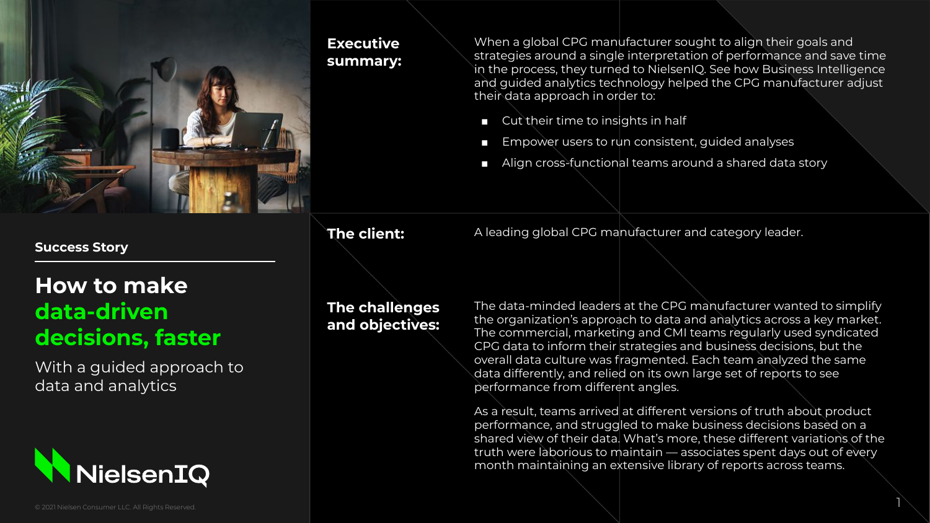

## **Executive summary:**

When a global CPG manufacturer sought to align their goals and strategies around a single interpretation of performance and save time in the process, they turned to NielsenIQ. See how Business Intelligence and guided analytics technology helped the CPG manufacturer adjust their data approach in order to:

- Cut their time to insights in half
- Empower users to run consistent, guided analyses
- Align cross-functional teams around a shared data story

**The client:** A leading global CPG manufacturer and category leader.

# **How to make data-driven decisions, faster**

**Success Story**

With a guided approach to data and analytics

**NielsenIQ** 

**The challenges and objectives:**  The data-minded leaders at the CPG manufacturer wanted to simplify the organization's approach to data and analytics across a key market. The commercial, marketing and CMI teams regularly used syndicated CPG data to inform their strategies and business decisions, but the overall data culture was fragmented. Each team analyzed the same data differently, and relied on its own large set of reports to see performance from different angles.

As a result, teams arrived at different versions of truth about product performance, and struggled to make business decisions based on a shared view of their data. What's more, these different variations of the truth were laborious to maintain — associates spent days out of every month maintaining an extensive library of reports across teams.